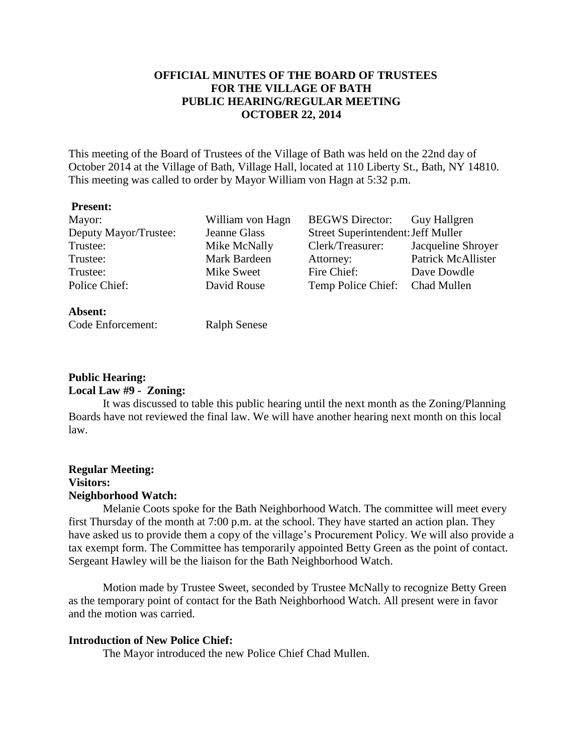# **OFFICIAL MINUTES OF THE BOARD OF TRUSTEES FOR THE VILLAGE OF BATH PUBLIC HEARING/REGULAR MEETING OCTOBER 22, 2014**

This meeting of the Board of Trustees of the Village of Bath was held on the 22nd day of October 2014 at the Village of Bath, Village Hall, located at 110 Liberty St., Bath, NY 14810. This meeting was called to order by Mayor William von Hagn at 5:32 p.m.

#### **Present:**

| Mayor:                | William von Hagn | <b>BEGWS</b> Director:             | <b>Guy Hallgren</b>       |
|-----------------------|------------------|------------------------------------|---------------------------|
| Deputy Mayor/Trustee: | Jeanne Glass     | Street Superintendent: Jeff Muller |                           |
| Trustee:              | Mike McNally     | Clerk/Treasurer:                   | Jacqueline Shroyer        |
| Trustee:              | Mark Bardeen     | Attorney:                          | <b>Patrick McAllister</b> |
| Trustee:              | Mike Sweet       | Fire Chief:                        | Dave Dowdle               |
| Police Chief:         | David Rouse      | Temp Police Chief: Chad Mullen     |                           |
| Absent:               |                  |                                    |                           |

Code Enforcement: Ralph Senese

## **Public Hearing: Local Law #9 - Zoning:**

It was discussed to table this public hearing until the next month as the Zoning/Planning Boards have not reviewed the final law. We will have another hearing next month on this local law.

# **Regular Meeting: Visitors: Neighborhood Watch:**

Melanie Coots spoke for the Bath Neighborhood Watch. The committee will meet every first Thursday of the month at 7:00 p.m. at the school. They have started an action plan. They have asked us to provide them a copy of the village's Procurement Policy. We will also provide a tax exempt form. The Committee has temporarily appointed Betty Green as the point of contact. Sergeant Hawley will be the liaison for the Bath Neighborhood Watch.

Motion made by Trustee Sweet, seconded by Trustee McNally to recognize Betty Green as the temporary point of contact for the Bath Neighborhood Watch. All present were in favor and the motion was carried.

# **Introduction of New Police Chief:**

The Mayor introduced the new Police Chief Chad Mullen.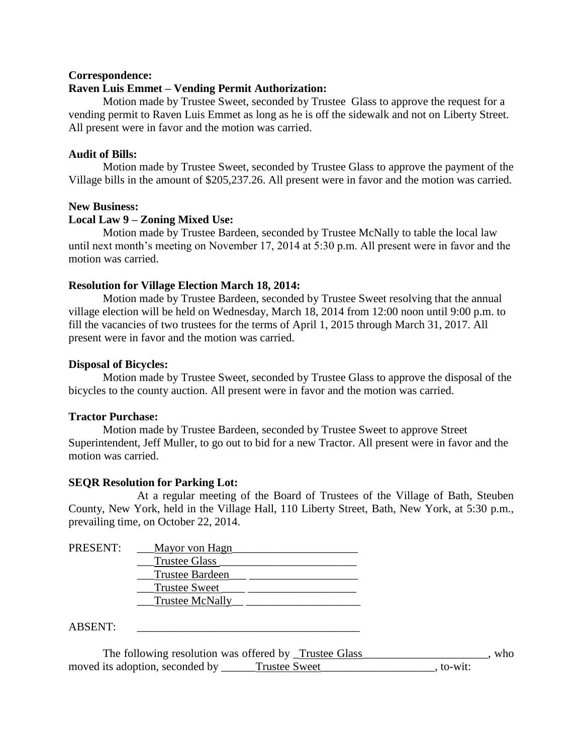## **Correspondence:**

## **Raven Luis Emmet – Vending Permit Authorization:**

Motion made by Trustee Sweet, seconded by Trustee Glass to approve the request for a vending permit to Raven Luis Emmet as long as he is off the sidewalk and not on Liberty Street. All present were in favor and the motion was carried.

## **Audit of Bills:**

Motion made by Trustee Sweet, seconded by Trustee Glass to approve the payment of the Village bills in the amount of \$205,237.26. All present were in favor and the motion was carried.

## **New Business:**

## **Local Law 9 – Zoning Mixed Use:**

Motion made by Trustee Bardeen, seconded by Trustee McNally to table the local law until next month's meeting on November 17, 2014 at 5:30 p.m. All present were in favor and the motion was carried.

## **Resolution for Village Election March 18, 2014:**

Motion made by Trustee Bardeen, seconded by Trustee Sweet resolving that the annual village election will be held on Wednesday, March 18, 2014 from 12:00 noon until 9:00 p.m. to fill the vacancies of two trustees for the terms of April 1, 2015 through March 31, 2017. All present were in favor and the motion was carried.

## **Disposal of Bicycles:**

Motion made by Trustee Sweet, seconded by Trustee Glass to approve the disposal of the bicycles to the county auction. All present were in favor and the motion was carried.

## **Tractor Purchase:**

Motion made by Trustee Bardeen, seconded by Trustee Sweet to approve Street Superintendent, Jeff Muller, to go out to bid for a new Tractor. All present were in favor and the motion was carried.

# **SEQR Resolution for Parking Lot:**

At a regular meeting of the Board of Trustees of the Village of Bath, Steuben County, New York, held in the Village Hall, 110 Liberty Street, Bath, New York, at 5:30 p.m., prevailing time, on October 22, 2014.

| <b>PRESENT:</b> | Mayor von Hagn         |  |
|-----------------|------------------------|--|
|                 | Trustee Glass          |  |
|                 | <b>Trustee Bardeen</b> |  |
|                 | <b>Trustee Sweet</b>   |  |
|                 | <b>Trustee McNally</b> |  |
|                 |                        |  |

 $ABSENT:$ 

The following resolution was offered by  $\Gamma$ rustee Glass\_\_\_\_\_\_\_\_\_\_\_\_\_\_\_\_\_\_, who moved its adoption, seconded by \_\_\_\_\_\_Trustee Sweet \_\_\_\_\_\_\_\_\_\_\_\_\_\_\_\_, to-wit: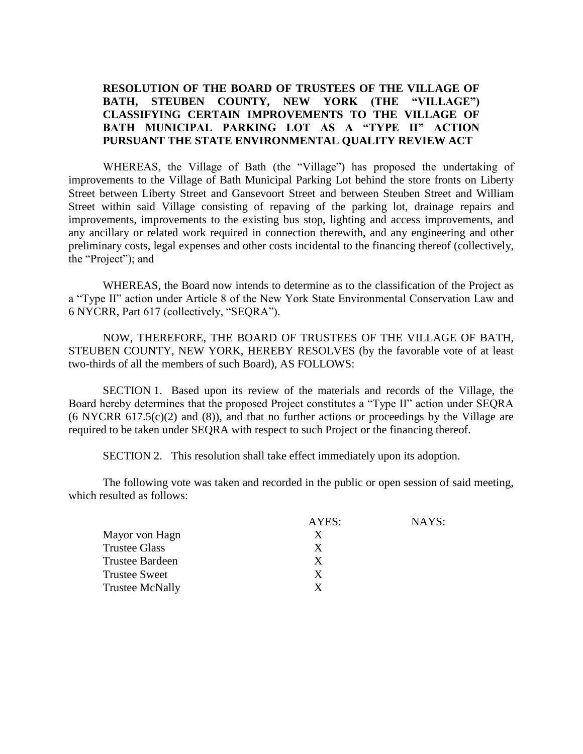# **RESOLUTION OF THE BOARD OF TRUSTEES OF THE VILLAGE OF BATH, STEUBEN COUNTY, NEW YORK (THE "VILLAGE") CLASSIFYING CERTAIN IMPROVEMENTS TO THE VILLAGE OF BATH MUNICIPAL PARKING LOT AS A "TYPE II" ACTION PURSUANT THE STATE ENVIRONMENTAL QUALITY REVIEW ACT**

WHEREAS, the Village of Bath (the "Village") has proposed the undertaking of improvements to the Village of Bath Municipal Parking Lot behind the store fronts on Liberty Street between Liberty Street and Gansevoort Street and between Steuben Street and William Street within said Village consisting of repaving of the parking lot, drainage repairs and improvements, improvements to the existing bus stop, lighting and access improvements, and any ancillary or related work required in connection therewith, and any engineering and other preliminary costs, legal expenses and other costs incidental to the financing thereof (collectively, the "Project"); and

WHEREAS, the Board now intends to determine as to the classification of the Project as a "Type II" action under Article 8 of the New York State Environmental Conservation Law and 6 NYCRR, Part 617 (collectively, "SEQRA").

NOW, THEREFORE, THE BOARD OF TRUSTEES OF THE VILLAGE OF BATH, STEUBEN COUNTY, NEW YORK, HEREBY RESOLVES (by the favorable vote of at least two-thirds of all the members of such Board), AS FOLLOWS:

SECTION 1. Based upon its review of the materials and records of the Village, the Board hereby determines that the proposed Project constitutes a "Type II" action under SEQRA  $(6 \text{ NYCRR } 617.5(c)(2)$  and  $(8)$ ), and that no further actions or proceedings by the Village are required to be taken under SEQRA with respect to such Project or the financing thereof.

SECTION 2. This resolution shall take effect immediately upon its adoption.

The following vote was taken and recorded in the public or open session of said meeting, which resulted as follows:

|                        | AYES: | NAYS: |
|------------------------|-------|-------|
| Mayor von Hagn         | X     |       |
| <b>Trustee Glass</b>   | X     |       |
| <b>Trustee Bardeen</b> | X     |       |
| <b>Trustee Sweet</b>   | X     |       |
| <b>Trustee McNally</b> | Y     |       |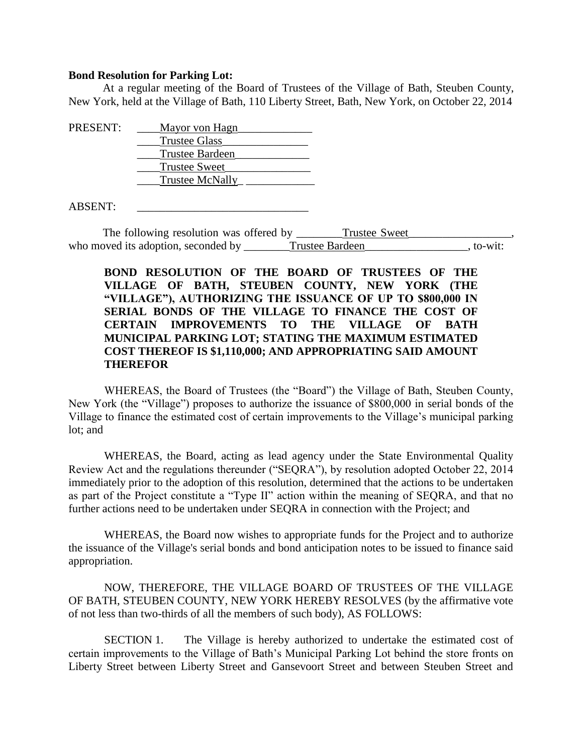#### **Bond Resolution for Parking Lot:**

At a regular meeting of the Board of Trustees of the Village of Bath, Steuben County, New York, held at the Village of Bath, 110 Liberty Street, Bath, New York, on October 22, 2014

| PRESENT:       | Mayor von Hagn         |  |
|----------------|------------------------|--|
|                | <b>Trustee Glass</b>   |  |
|                | <b>Trustee Bardeen</b> |  |
|                | <b>Trustee Sweet</b>   |  |
|                | Trustee McNally        |  |
| <b>ABSENT:</b> |                        |  |

The following resolution was offered by Trustee Sweet who moved its adoption, seconded by \_\_\_\_\_\_\_Trustee Bardeen\_\_\_\_\_\_\_\_\_\_\_\_\_\_\_\_, to-wit:

# **BOND RESOLUTION OF THE BOARD OF TRUSTEES OF THE VILLAGE OF BATH, STEUBEN COUNTY, NEW YORK (THE "VILLAGE"), AUTHORIZING THE ISSUANCE OF UP TO \$800,000 IN SERIAL BONDS OF THE VILLAGE TO FINANCE THE COST OF CERTAIN IMPROVEMENTS TO THE VILLAGE OF BATH MUNICIPAL PARKING LOT; STATING THE MAXIMUM ESTIMATED COST THEREOF IS \$1,110,000; AND APPROPRIATING SAID AMOUNT THEREFOR**

WHEREAS, the Board of Trustees (the "Board") the Village of Bath, Steuben County, New York (the "Village") proposes to authorize the issuance of \$800,000 in serial bonds of the Village to finance the estimated cost of certain improvements to the Village's municipal parking lot; and

WHEREAS, the Board, acting as lead agency under the State Environmental Quality Review Act and the regulations thereunder ("SEQRA"), by resolution adopted October 22, 2014 immediately prior to the adoption of this resolution, determined that the actions to be undertaken as part of the Project constitute a "Type II" action within the meaning of SEQRA, and that no further actions need to be undertaken under SEQRA in connection with the Project; and

WHEREAS, the Board now wishes to appropriate funds for the Project and to authorize the issuance of the Village's serial bonds and bond anticipation notes to be issued to finance said appropriation.

NOW, THEREFORE, THE VILLAGE BOARD OF TRUSTEES OF THE VILLAGE OF BATH, STEUBEN COUNTY, NEW YORK HEREBY RESOLVES (by the affirmative vote of not less than two-thirds of all the members of such body), AS FOLLOWS:

SECTION 1. The Village is hereby authorized to undertake the estimated cost of certain improvements to the Village of Bath's Municipal Parking Lot behind the store fronts on Liberty Street between Liberty Street and Gansevoort Street and between Steuben Street and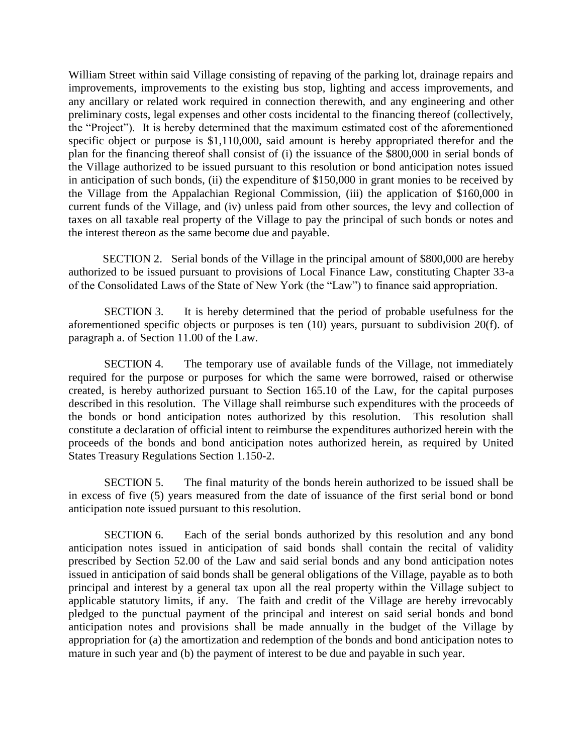William Street within said Village consisting of repaving of the parking lot, drainage repairs and improvements, improvements to the existing bus stop, lighting and access improvements, and any ancillary or related work required in connection therewith, and any engineering and other preliminary costs, legal expenses and other costs incidental to the financing thereof (collectively, the "Project"). It is hereby determined that the maximum estimated cost of the aforementioned specific object or purpose is \$1,110,000, said amount is hereby appropriated therefor and the plan for the financing thereof shall consist of (i) the issuance of the \$800,000 in serial bonds of the Village authorized to be issued pursuant to this resolution or bond anticipation notes issued in anticipation of such bonds, (ii) the expenditure of \$150,000 in grant monies to be received by the Village from the Appalachian Regional Commission, (iii) the application of \$160,000 in current funds of the Village, and (iv) unless paid from other sources, the levy and collection of taxes on all taxable real property of the Village to pay the principal of such bonds or notes and the interest thereon as the same become due and payable.

SECTION 2. Serial bonds of the Village in the principal amount of \$800,000 are hereby authorized to be issued pursuant to provisions of Local Finance Law, constituting Chapter 33-a of the Consolidated Laws of the State of New York (the "Law") to finance said appropriation.

SECTION 3. It is hereby determined that the period of probable usefulness for the aforementioned specific objects or purposes is ten (10) years, pursuant to subdivision 20(f). of paragraph a. of Section 11.00 of the Law.

SECTION 4. The temporary use of available funds of the Village, not immediately required for the purpose or purposes for which the same were borrowed, raised or otherwise created, is hereby authorized pursuant to Section 165.10 of the Law, for the capital purposes described in this resolution. The Village shall reimburse such expenditures with the proceeds of the bonds or bond anticipation notes authorized by this resolution. This resolution shall constitute a declaration of official intent to reimburse the expenditures authorized herein with the proceeds of the bonds and bond anticipation notes authorized herein, as required by United States Treasury Regulations Section 1.150-2.

SECTION 5. The final maturity of the bonds herein authorized to be issued shall be in excess of five (5) years measured from the date of issuance of the first serial bond or bond anticipation note issued pursuant to this resolution.

SECTION 6. Each of the serial bonds authorized by this resolution and any bond anticipation notes issued in anticipation of said bonds shall contain the recital of validity prescribed by Section 52.00 of the Law and said serial bonds and any bond anticipation notes issued in anticipation of said bonds shall be general obligations of the Village, payable as to both principal and interest by a general tax upon all the real property within the Village subject to applicable statutory limits, if any. The faith and credit of the Village are hereby irrevocably pledged to the punctual payment of the principal and interest on said serial bonds and bond anticipation notes and provisions shall be made annually in the budget of the Village by appropriation for (a) the amortization and redemption of the bonds and bond anticipation notes to mature in such year and (b) the payment of interest to be due and payable in such year.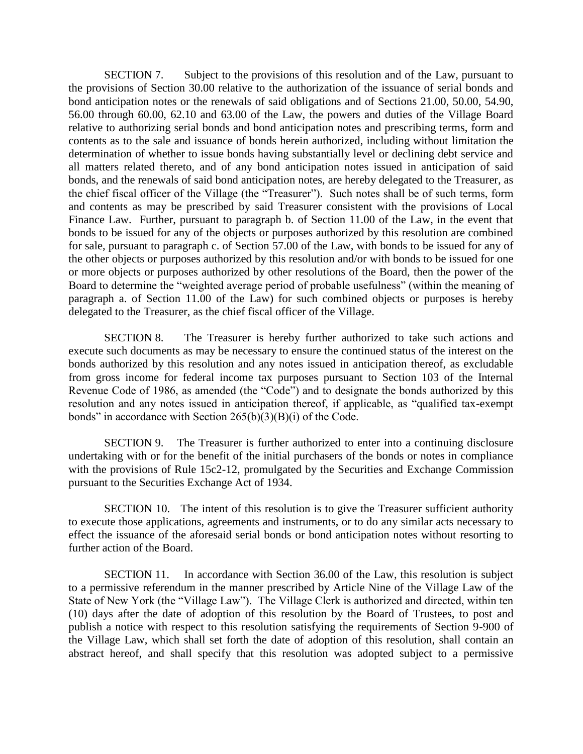SECTION 7. Subject to the provisions of this resolution and of the Law, pursuant to the provisions of Section 30.00 relative to the authorization of the issuance of serial bonds and bond anticipation notes or the renewals of said obligations and of Sections 21.00, 50.00, 54.90, 56.00 through 60.00, 62.10 and 63.00 of the Law, the powers and duties of the Village Board relative to authorizing serial bonds and bond anticipation notes and prescribing terms, form and contents as to the sale and issuance of bonds herein authorized, including without limitation the determination of whether to issue bonds having substantially level or declining debt service and all matters related thereto, and of any bond anticipation notes issued in anticipation of said bonds, and the renewals of said bond anticipation notes, are hereby delegated to the Treasurer, as the chief fiscal officer of the Village (the "Treasurer"). Such notes shall be of such terms, form and contents as may be prescribed by said Treasurer consistent with the provisions of Local Finance Law. Further, pursuant to paragraph b. of Section 11.00 of the Law, in the event that bonds to be issued for any of the objects or purposes authorized by this resolution are combined for sale, pursuant to paragraph c. of Section 57.00 of the Law, with bonds to be issued for any of the other objects or purposes authorized by this resolution and/or with bonds to be issued for one or more objects or purposes authorized by other resolutions of the Board, then the power of the Board to determine the "weighted average period of probable usefulness" (within the meaning of paragraph a. of Section 11.00 of the Law) for such combined objects or purposes is hereby delegated to the Treasurer, as the chief fiscal officer of the Village.

SECTION 8. The Treasurer is hereby further authorized to take such actions and execute such documents as may be necessary to ensure the continued status of the interest on the bonds authorized by this resolution and any notes issued in anticipation thereof, as excludable from gross income for federal income tax purposes pursuant to Section 103 of the Internal Revenue Code of 1986, as amended (the "Code") and to designate the bonds authorized by this resolution and any notes issued in anticipation thereof, if applicable, as "qualified tax-exempt bonds" in accordance with Section 265(b)(3)(B)(i) of the Code.

SECTION 9. The Treasurer is further authorized to enter into a continuing disclosure undertaking with or for the benefit of the initial purchasers of the bonds or notes in compliance with the provisions of Rule 15c2-12, promulgated by the Securities and Exchange Commission pursuant to the Securities Exchange Act of 1934.

SECTION 10. The intent of this resolution is to give the Treasurer sufficient authority to execute those applications, agreements and instruments, or to do any similar acts necessary to effect the issuance of the aforesaid serial bonds or bond anticipation notes without resorting to further action of the Board.

SECTION 11. In accordance with Section 36.00 of the Law, this resolution is subject to a permissive referendum in the manner prescribed by Article Nine of the Village Law of the State of New York (the "Village Law"). The Village Clerk is authorized and directed, within ten (10) days after the date of adoption of this resolution by the Board of Trustees, to post and publish a notice with respect to this resolution satisfying the requirements of Section 9-900 of the Village Law, which shall set forth the date of adoption of this resolution, shall contain an abstract hereof, and shall specify that this resolution was adopted subject to a permissive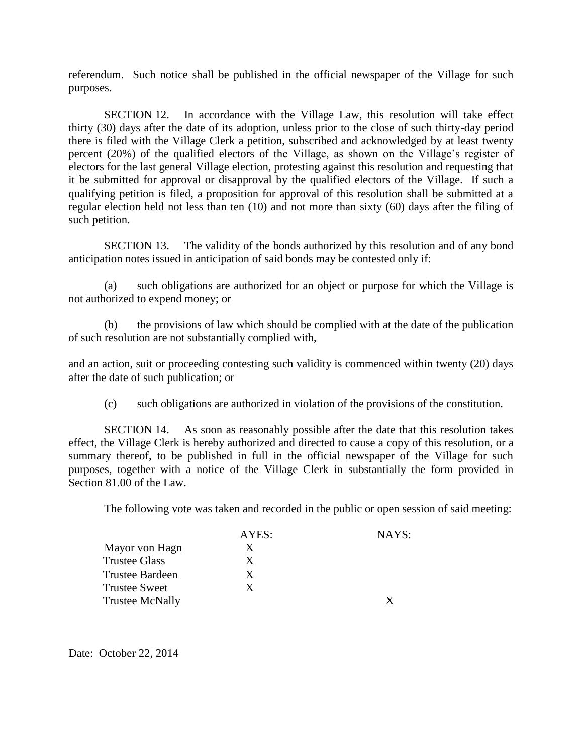referendum. Such notice shall be published in the official newspaper of the Village for such purposes.

SECTION 12. In accordance with the Village Law, this resolution will take effect thirty (30) days after the date of its adoption, unless prior to the close of such thirty-day period there is filed with the Village Clerk a petition, subscribed and acknowledged by at least twenty percent (20%) of the qualified electors of the Village, as shown on the Village's register of electors for the last general Village election, protesting against this resolution and requesting that it be submitted for approval or disapproval by the qualified electors of the Village. If such a qualifying petition is filed, a proposition for approval of this resolution shall be submitted at a regular election held not less than ten (10) and not more than sixty (60) days after the filing of such petition.

SECTION 13. The validity of the bonds authorized by this resolution and of any bond anticipation notes issued in anticipation of said bonds may be contested only if:

(a) such obligations are authorized for an object or purpose for which the Village is not authorized to expend money; or

(b) the provisions of law which should be complied with at the date of the publication of such resolution are not substantially complied with,

and an action, suit or proceeding contesting such validity is commenced within twenty (20) days after the date of such publication; or

(c) such obligations are authorized in violation of the provisions of the constitution.

SECTION 14. As soon as reasonably possible after the date that this resolution takes effect, the Village Clerk is hereby authorized and directed to cause a copy of this resolution, or a summary thereof, to be published in full in the official newspaper of the Village for such purposes, together with a notice of the Village Clerk in substantially the form provided in Section 81.00 of the Law.

The following vote was taken and recorded in the public or open session of said meeting:

|                        | AYES: | NAYS: |
|------------------------|-------|-------|
| Mayor von Hagn         | X     |       |
| <b>Trustee Glass</b>   | X     |       |
| Trustee Bardeen        | X     |       |
| <b>Trustee Sweet</b>   | X     |       |
| <b>Trustee McNally</b> |       |       |

Date: October 22, 2014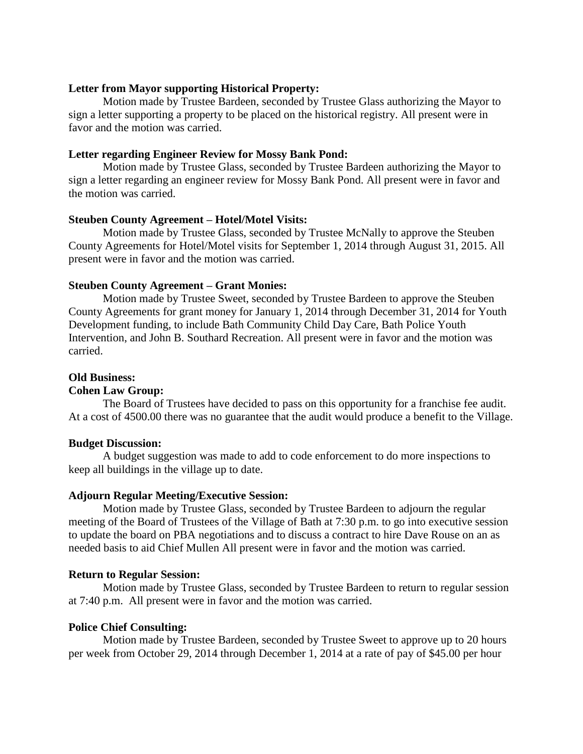## **Letter from Mayor supporting Historical Property:**

Motion made by Trustee Bardeen, seconded by Trustee Glass authorizing the Mayor to sign a letter supporting a property to be placed on the historical registry. All present were in favor and the motion was carried.

## **Letter regarding Engineer Review for Mossy Bank Pond:**

Motion made by Trustee Glass, seconded by Trustee Bardeen authorizing the Mayor to sign a letter regarding an engineer review for Mossy Bank Pond. All present were in favor and the motion was carried.

## **Steuben County Agreement – Hotel/Motel Visits:**

Motion made by Trustee Glass, seconded by Trustee McNally to approve the Steuben County Agreements for Hotel/Motel visits for September 1, 2014 through August 31, 2015. All present were in favor and the motion was carried.

## **Steuben County Agreement – Grant Monies:**

Motion made by Trustee Sweet, seconded by Trustee Bardeen to approve the Steuben County Agreements for grant money for January 1, 2014 through December 31, 2014 for Youth Development funding, to include Bath Community Child Day Care, Bath Police Youth Intervention, and John B. Southard Recreation. All present were in favor and the motion was carried.

# **Old Business:**

## **Cohen Law Group:**

The Board of Trustees have decided to pass on this opportunity for a franchise fee audit. At a cost of 4500.00 there was no guarantee that the audit would produce a benefit to the Village.

## **Budget Discussion:**

A budget suggestion was made to add to code enforcement to do more inspections to keep all buildings in the village up to date.

# **Adjourn Regular Meeting/Executive Session:**

Motion made by Trustee Glass, seconded by Trustee Bardeen to adjourn the regular meeting of the Board of Trustees of the Village of Bath at 7:30 p.m. to go into executive session to update the board on PBA negotiations and to discuss a contract to hire Dave Rouse on an as needed basis to aid Chief Mullen All present were in favor and the motion was carried.

## **Return to Regular Session:**

Motion made by Trustee Glass, seconded by Trustee Bardeen to return to regular session at 7:40 p.m. All present were in favor and the motion was carried.

## **Police Chief Consulting:**

Motion made by Trustee Bardeen, seconded by Trustee Sweet to approve up to 20 hours per week from October 29, 2014 through December 1, 2014 at a rate of pay of \$45.00 per hour